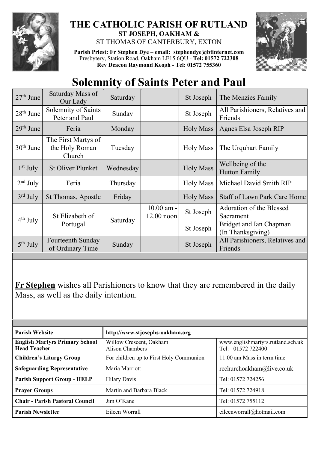

## **THE CATHOLIC PARISH OF RUTLAND ST JOSEPH, OAKHAM &**  ST THOMAS OF CANTERBURY, EXTON

**Parish Priest: Fr Stephen Dye** – **[email: stephendye@btinternet.com](mailto:email:%20%20stephendye@btinternet.com)** Presbytery, Station Road, Oakham LE15 6QU - **Tel: 01572 722308 Rev Deacon Raymond Keogh - Tel: 01572 755360**



## **Solemnity of Saints Peter and Paul**

| $27th$ June | Saturday Mass of<br>Our Lady                    | Saturday  |                              | St Joseph        | The Menzies Family                           |
|-------------|-------------------------------------------------|-----------|------------------------------|------------------|----------------------------------------------|
| $28th$ June | Solemnity of Saints<br>Peter and Paul           | Sunday    |                              | St Joseph        | All Parishioners, Relatives and<br>Friends   |
| $29th$ June | Feria                                           | Monday    |                              | <b>Holy Mass</b> | Agnes Elsa Joseph RIP                        |
| $30th$ June | The First Martys of<br>the Holy Roman<br>Church | Tuesday   |                              | <b>Holy Mass</b> | The Urquhart Family                          |
| $1st$ July  | <b>St Oliver Plunket</b>                        | Wednesday |                              | <b>Holy Mass</b> | Wellbeing of the<br><b>Hutton Family</b>     |
| $2nd$ July  | Feria                                           | Thursday  |                              | <b>Holy Mass</b> | Michael David Smith RIP                      |
| $3rd$ July  | St Thomas, Apostle                              | Friday    |                              | <b>Holy Mass</b> | Staff of Lawn Park Care Home                 |
| $4th$ July  | St Elizabeth of<br>Portugal                     | Saturday  | $10.00$ am -<br>$12.00$ noon | St Joseph        | Adoration of the Blessed<br>Sacrament        |
|             |                                                 |           |                              | St Joseph        | Bridget and Ian Chapman<br>(In Thanksgiving) |
| $5th$ July  | Fourteenth Sunday<br>of Ordinary Time           | Sunday    |                              | St Joseph        | All Parishioners, Relatives and<br>Friends   |
|             |                                                 |           |                              |                  |                                              |

**Fr Stephen** wishes all Parishioners to know that they are remembered in the daily Mass, as well as the daily intention.

| <b>Parish Website</b>                                        | http://www.stjosephs-oakham.org                   |                                                        |  |  |
|--------------------------------------------------------------|---------------------------------------------------|--------------------------------------------------------|--|--|
| <b>English Martyrs Primary School</b><br><b>Head Teacher</b> | Willow Crescent, Oakham<br><b>Alison Chambers</b> | www.englishmartyrs.rutland.sch.uk<br>Tel: 01572 722400 |  |  |
| <b>Children's Liturgy Group</b>                              | For children up to First Holy Communion           | 11.00 am Mass in term time                             |  |  |
| <b>Safeguarding Representative</b>                           | Maria Marriott                                    | rcchurchoakham@live.co.uk                              |  |  |
| <b>Parish Support Group - HELP</b>                           | <b>Hilary Davis</b>                               | Tel: 01572 724256                                      |  |  |
| <b>Prayer Groups</b>                                         | Martin and Barbara Black                          | Tel: 01572 724918                                      |  |  |
| <b>Chair - Parish Pastoral Council</b>                       | Jim O'Kane                                        | Tel: 01572 755112                                      |  |  |
| <b>Parish Newsletter</b>                                     | Eileen Worrall                                    | eileenworrall@hotmail.com                              |  |  |